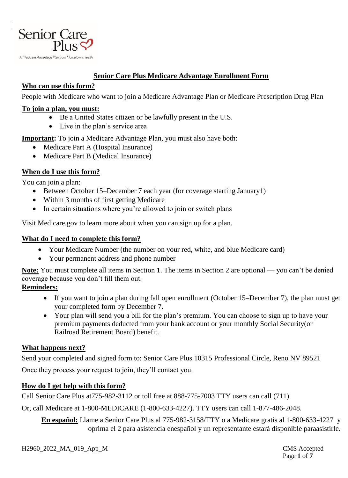

#### **Senior Care Plus Medicare Advantage Enrollment Form**

## **Who can use this form?**

People with Medicare who want to join a Medicare Advantage Plan or Medicare Prescription Drug Plan

#### **To join a plan, you must:**

- Be a United States citizen or be lawfully present in the U.S.
- Live in the plan's service area

**Important:** To join a Medicare Advantage Plan, you must also have both:

- Medicare Part A (Hospital Insurance)
- Medicare Part B (Medical Insurance)

# **When do I use this form?**

You can join a plan:

- Between October 15–December 7 each year (for coverage starting January1)
- Within 3 months of first getting Medicare
- In certain situations where you're allowed to join or switch plans

Visit Medicare.gov to learn more about when you can sign up for a plan.

## **What do I need to complete this form?**

- Your Medicare Number (the number on your red, white, and blue Medicare card)
- Your permanent address and phone number

**Note:** You must complete all items in Section 1. The items in Section 2 are optional — you can't be denied coverage because you don't fill them out.

#### **Reminders:**

- If you want to join a plan during fall open enrollment (October 15–December 7), the plan must get your completed form by December 7.
- Your plan will send you a bill for the plan's premium. You can choose to sign up to have your premium payments deducted from your bank account or your monthly Social Security(or Railroad Retirement Board) benefit.

# **What happens next?**

Send your completed and signed form to: Senior Care Plus 10315 Professional Circle, Reno NV 89521

Once they process your request to join, they'll contact you.

# **How do I get help with this form?**

Call Senior Care Plus at775-982-3112 or toll free at 888-775-7003 TTY users can call (711)

Or, call Medicare at 1-800-MEDICARE (1-800-633-4227). TTY users can call 1-877-486-2048.

**En español:** Llame a Senior Care Plus al 775-982-3158/TTY o a Medicare gratis al 1-800-633-4227 y oprima el 2 para asistencia enespañol y un representante estará disponible paraasistirle.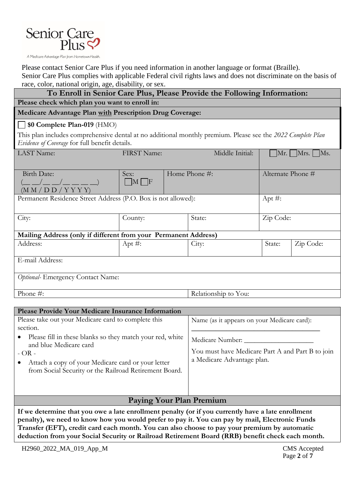

Please contact Senior Care Plus if you need information in another language or format (Braille).

Senior Care Plus complies with applicable Federal civil rights laws and does not discriminate on the basis of race, color, national origin, age, disability, or sex.

| race, color, hanonar origin, age, disability, or sex.<br>To Enroll in Senior Care Plus, Please Provide the Following Information: |                 |                                                                                |                                             |                   |                   |  |
|-----------------------------------------------------------------------------------------------------------------------------------|-----------------|--------------------------------------------------------------------------------|---------------------------------------------|-------------------|-------------------|--|
| Please check which plan you want to enroll in:                                                                                    |                 |                                                                                |                                             |                   |                   |  |
| Medicare Advantage Plan with Prescription Drug Coverage:                                                                          |                 |                                                                                |                                             |                   |                   |  |
| $\Box$ \$0 Complete Plan-019 (HMO)                                                                                                |                 |                                                                                |                                             |                   |                   |  |
| This plan includes comprehensive dental at no additional monthly premium. Please see the 2022 Complete Plan                       |                 |                                                                                |                                             |                   |                   |  |
| Evidence of Coverage for full benefit details.                                                                                    |                 |                                                                                |                                             |                   |                   |  |
| LAST Name:                                                                                                                        | FIRST Name:     |                                                                                | Middle Initial:                             |                   | $Mr.$ Mrs.<br>Ms. |  |
| Birth Date:                                                                                                                       | Sex:            |                                                                                | Home Phone #:                               | Alternate Phone # |                   |  |
| $(\_\_$<br>(M M / D D / Y Y Y)                                                                                                    | $\Box M \Box F$ |                                                                                |                                             |                   |                   |  |
| Permanent Residence Street Address (P.O. Box is not allowed):                                                                     |                 |                                                                                |                                             | Apt $#$ :         |                   |  |
|                                                                                                                                   |                 |                                                                                |                                             |                   |                   |  |
| City:                                                                                                                             | County:         |                                                                                | State:                                      | Zip Code:         |                   |  |
| Mailing Address (only if different from your Permanent Address)                                                                   |                 |                                                                                |                                             |                   |                   |  |
| Address:                                                                                                                          | Apt $\#$ :      |                                                                                | City:                                       | State:            | Zip Code:         |  |
| E-mail Address:                                                                                                                   |                 |                                                                                |                                             |                   |                   |  |
| Optional-Emergency Contact Name:                                                                                                  |                 |                                                                                |                                             |                   |                   |  |
|                                                                                                                                   |                 |                                                                                |                                             |                   |                   |  |
| Phone #:                                                                                                                          |                 |                                                                                | Relationship to You:                        |                   |                   |  |
|                                                                                                                                   |                 |                                                                                |                                             |                   |                   |  |
| Please Provide Your Medicare Insurance Information                                                                                |                 |                                                                                |                                             |                   |                   |  |
| Please take out your Medicare card to complete this<br>section.                                                                   |                 |                                                                                | Name (as it appears on your Medicare card): |                   |                   |  |
| Please fill in these blanks so they match your red, white<br>and blue Medicare card<br>$-OR -$                                    |                 | Medicare Number:                                                               |                                             |                   |                   |  |
|                                                                                                                                   |                 | You must have Medicare Part A and Part B to join<br>a Medicare Advantage plan. |                                             |                   |                   |  |
| Attach a copy of your Medicare card or your letter<br>from Social Security or the Railroad Retirement Board.                      |                 |                                                                                |                                             |                   |                   |  |
|                                                                                                                                   |                 |                                                                                |                                             |                   |                   |  |
|                                                                                                                                   |                 |                                                                                |                                             |                   |                   |  |
|                                                                                                                                   |                 |                                                                                |                                             |                   |                   |  |

# **Paying Your Plan Premium**

**If we determine that you owe a late enrollment penalty (or if you currently have a late enrollment penalty), we need to know how you would prefer to pay it. You can pay by mail, Electronic Funds Transfer (EFT), credit card each month. You can also choose to pay your premium by automatic deduction from your Social Security or Railroad Retirement Board (RRB) benefit check each month.**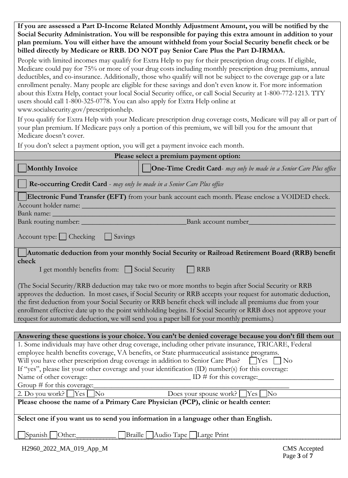**If you are assessed a Part D-Income Related Monthly Adjustment Amount, you will be notified by the Social Security Administration. You will be responsible for paying this extra amount in addition to your plan premium. You will either have the amount withheld from your Social Security benefit check or be billed directly by Medicare or RRB. DO NOT pay Senior Care Plus the Part D-IRMAA.**

People with limited incomes may qualify for Extra Help to pay for their prescription drug costs. If eligible, Medicare could pay for 75% or more of your drug costs including monthly prescription drug premiums, annual deductibles, and co-insurance. Additionally, those who qualify will not be subject to the coverage gap or a late enrollment penalty. Many people are eligible for these savings and don't even know it. For more information about this Extra Help, contact your local Social Security office, or call Social Security at 1-800-772-1213. TTY users should call 1-800-325-0778. You can also apply for Extra Help online at www.socialsecurity.gov/prescriptionhelp.

If you qualify for Extra Help with your Medicare prescription drug coverage costs, Medicare will pay all or part of your plan premium. If Medicare pays only a portion of this premium, we will bill you for the amount that Medicare doesn't cover.

If you don't select a payment option, you will get a payment invoice each month.

| Please select a premium payment option:                                                                                                                                                                                                                                                                                                                                                                                                                                                                                                             |                                                                                                        |  |  |  |  |
|-----------------------------------------------------------------------------------------------------------------------------------------------------------------------------------------------------------------------------------------------------------------------------------------------------------------------------------------------------------------------------------------------------------------------------------------------------------------------------------------------------------------------------------------------------|--------------------------------------------------------------------------------------------------------|--|--|--|--|
| <b>Monthly Invoice</b>                                                                                                                                                                                                                                                                                                                                                                                                                                                                                                                              | <b>One-Time Credit Card-</b> may only be made in a Senior Care Plus office                             |  |  |  |  |
| Re-occurring Credit Card - may only be made in a Senior Care Plus office                                                                                                                                                                                                                                                                                                                                                                                                                                                                            |                                                                                                        |  |  |  |  |
| Electronic Fund Transfer (EFT) from your bank account each month. Please enclose a VOIDED check.                                                                                                                                                                                                                                                                                                                                                                                                                                                    |                                                                                                        |  |  |  |  |
| Account holder name:                                                                                                                                                                                                                                                                                                                                                                                                                                                                                                                                |                                                                                                        |  |  |  |  |
| Bank name:                                                                                                                                                                                                                                                                                                                                                                                                                                                                                                                                          |                                                                                                        |  |  |  |  |
| Bank routing number: _                                                                                                                                                                                                                                                                                                                                                                                                                                                                                                                              | Bank account number                                                                                    |  |  |  |  |
| Account type: Checking<br>Savings                                                                                                                                                                                                                                                                                                                                                                                                                                                                                                                   |                                                                                                        |  |  |  |  |
|                                                                                                                                                                                                                                                                                                                                                                                                                                                                                                                                                     | Automatic deduction from your monthly Social Security or Railroad Retirement Board (RRB) benefit       |  |  |  |  |
| check                                                                                                                                                                                                                                                                                                                                                                                                                                                                                                                                               |                                                                                                        |  |  |  |  |
| I get monthly benefits from: Social Security                                                                                                                                                                                                                                                                                                                                                                                                                                                                                                        | <b>RRB</b>                                                                                             |  |  |  |  |
| (The Social Security/RRB deduction may take two or more months to begin after Social Security or RRB<br>approves the deduction. In most cases, if Social Security or RRB accepts your request for automatic deduction,<br>the first deduction from your Social Security or RRB benefit check will include all premiums due from your<br>enrollment effective date up to the point withholding begins. If Social Security or RRB does not approve your<br>request for automatic deduction, we will send you a paper bill for your monthly premiums.) |                                                                                                        |  |  |  |  |
|                                                                                                                                                                                                                                                                                                                                                                                                                                                                                                                                                     |                                                                                                        |  |  |  |  |
|                                                                                                                                                                                                                                                                                                                                                                                                                                                                                                                                                     | Answering these questions is your choice. You can't be denied coverage because you don't fill them out |  |  |  |  |
| 1. Some individuals may have other drug coverage, including other private insurance, TRICARE, Federal                                                                                                                                                                                                                                                                                                                                                                                                                                               |                                                                                                        |  |  |  |  |
| employee health benefits coverage, VA benefits, or State pharmaceutical assistance programs.                                                                                                                                                                                                                                                                                                                                                                                                                                                        |                                                                                                        |  |  |  |  |
| Will you have other prescription drug coverage in addition to Senior Care Plus? [Yes]<br>$\overline{N}$                                                                                                                                                                                                                                                                                                                                                                                                                                             |                                                                                                        |  |  |  |  |
| If "yes", please list your other coverage and your identification (ID) number(s) for this coverage:<br>Name of other coverage:<br>$\Box$ ID # for this coverage:                                                                                                                                                                                                                                                                                                                                                                                    |                                                                                                        |  |  |  |  |
| Group # for this coverage:                                                                                                                                                                                                                                                                                                                                                                                                                                                                                                                          |                                                                                                        |  |  |  |  |
| 2. Do you work? $Yes$<br>N <sub>o</sub>                                                                                                                                                                                                                                                                                                                                                                                                                                                                                                             | $\sqrt{\text{No}}$<br>Does your spouse work?<br>Yes                                                    |  |  |  |  |
| Please choose the name of a Primary Care Physician (PCP), clinic or health center:                                                                                                                                                                                                                                                                                                                                                                                                                                                                  |                                                                                                        |  |  |  |  |
|                                                                                                                                                                                                                                                                                                                                                                                                                                                                                                                                                     |                                                                                                        |  |  |  |  |
| Select one if you want us to send you information in a language other than English.                                                                                                                                                                                                                                                                                                                                                                                                                                                                 |                                                                                                        |  |  |  |  |
|                                                                                                                                                                                                                                                                                                                                                                                                                                                                                                                                                     |                                                                                                        |  |  |  |  |
| Spanish   Other:                                                                                                                                                                                                                                                                                                                                                                                                                                                                                                                                    | Braille Audio Tape Large Print                                                                         |  |  |  |  |
| H2960_2022_MA_019_App_M                                                                                                                                                                                                                                                                                                                                                                                                                                                                                                                             | <b>CMS</b> Accepted<br>Page 3 of 7                                                                     |  |  |  |  |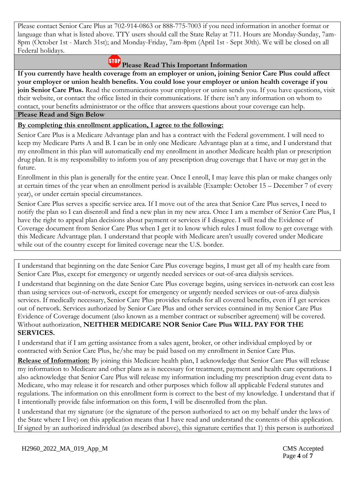Please contact Senior Care Plus at 702-914-0863 or 888-775-7003 if you need information in another format or language than what is listed above. TTY users should call the State Relay at 711. Hours are Monday-Sunday, 7am-8pm (October 1st - March 31st); and Monday-Friday, 7am-8pm (April 1st - Sept 30th). We will be closed on all Federal holidays.

# **Please Read This Important Information**

**If you currently have health coverage from an employer or union, joining Senior Care Plus could affect your employer or union health benefits. You could lose your employer or union health coverage if you join Senior Care Plus.** Read the communications your employer or union sends you. If you have questions, visit their website, or contact the office listed in their communications. If there isn't any information on whom to contact, your benefits administrator or the office that answers questions about your coverage can help.

#### **Please Read and Sign Below**

#### **By completing this enrollment application, I agree to the following:**

Senior Care Plus is a Medicare Advantage plan and has a contract with the Federal government. I will need to keep my Medicare Parts A and B. I can be in only one Medicare Advantage plan at a time, and I understand that my enrollment in this plan will automatically end my enrollment in another Medicare health plan or prescription drug plan. It is my responsibility to inform you of any prescription drug coverage that I have or may get in the future.

Enrollment in this plan is generally for the entire year. Once I enroll, I may leave this plan or make changes only at certain times of the year when an enrollment period is available (Example: October 15 – December 7 of every year), or under certain special circumstances.

Senior Care Plus serves a specific service area. If I move out of the area that Senior Care Plus serves, I need to notify the plan so I can disenroll and find a new plan in my new area. Once I am a member of Senior Care Plus, I have the right to appeal plan decisions about payment or services if I disagree. I will read the Evidence of Coverage document from Senior Care Plus when I get it to know which rules I must follow to get coverage with this Medicare Advantage plan. I understand that people with Medicare aren't usually covered under Medicare while out of the country except for limited coverage near the U.S. border.

I understand that beginning on the date Senior Care Plus coverage begins, I must get all of my health care from Senior Care Plus, except for emergency or urgently needed services or out-of-area dialysis services.

I understand that beginning on the date Senior Care Plus coverage begins, using services in-network can cost less than using services out-of-network, except for emergency or urgently needed services or out-of-area dialysis services. If medically necessary, Senior Care Plus provides refunds for all covered benefits, even if I get services out of network. Services authorized by Senior Care Plus and other services contained in my Senior Care Plus Evidence of Coverage document (also known as a member contract or subscriber agreement) will be covered. Without authorization, **NEITHER MEDICARE NOR Senior Care Plus WILL PAY FOR THE SERVICES.** 

I understand that if I am getting assistance from a sales agent, broker, or other individual employed by or contracted with Senior Care Plus, he/she may be paid based on my enrollment in Senior Care Plus.

**Release of Information:** By joining this Medicare health plan, I acknowledge that Senior Care Plus will release my information to Medicare and other plans as is necessary for treatment, payment and health care operations. I also acknowledge that Senior Care Plus will release my information including my prescription drug event data to Medicare, who may release it for research and other purposes which follow all applicable Federal statutes and regulations. The information on this enrollment form is correct to the best of my knowledge. I understand that if I intentionally provide false information on this form, I will be disenrolled from the plan.

I understand that my signature (or the signature of the person authorized to act on my behalf under the laws of the State where I live) on this application means that I have read and understand the contents of this application. If signed by an authorized individual (as described above), this signature certifies that 1) this person is authorized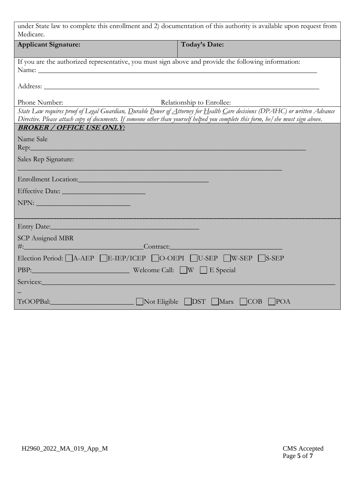| under State law to complete this enrollment and 2) documentation of this authority is available upon request from<br>Medicare.                                                                                                                                  |                               |  |  |  |  |
|-----------------------------------------------------------------------------------------------------------------------------------------------------------------------------------------------------------------------------------------------------------------|-------------------------------|--|--|--|--|
| <b>Applicant Signature:</b>                                                                                                                                                                                                                                     | Today's Date:                 |  |  |  |  |
| If you are the authorized representative, you must sign above and provide the following information:<br>Name: Name:                                                                                                                                             |                               |  |  |  |  |
|                                                                                                                                                                                                                                                                 |                               |  |  |  |  |
| Phone Number:                                                                                                                                                                                                                                                   | Relationship to Enrollee:     |  |  |  |  |
| State Law requires proof of Legal Guardian, Durable Power of Attorney for Health Care decisions (DPAHC) or written Advance<br>Directive. Please attach copy of documents. If someone other than yourself helped you complete this form, he/she must sign above. |                               |  |  |  |  |
| <b>BROKER / OFFICE USE ONLY:</b>                                                                                                                                                                                                                                |                               |  |  |  |  |
| Name Sale                                                                                                                                                                                                                                                       |                               |  |  |  |  |
| Sales Rep Signature:                                                                                                                                                                                                                                            |                               |  |  |  |  |
|                                                                                                                                                                                                                                                                 |                               |  |  |  |  |
|                                                                                                                                                                                                                                                                 |                               |  |  |  |  |
| $\text{NPN:}\underline{\hspace{2cm}}$                                                                                                                                                                                                                           |                               |  |  |  |  |
|                                                                                                                                                                                                                                                                 |                               |  |  |  |  |
|                                                                                                                                                                                                                                                                 |                               |  |  |  |  |
| <b>SCP</b> Assigned MBR<br>#: Contract:                                                                                                                                                                                                                         |                               |  |  |  |  |
| Election Period: A-AEP E-IEP/ICEP O-OEPI U-SEP W-SEP S-SEP                                                                                                                                                                                                      |                               |  |  |  |  |
| PBP: Welcome Call: W E Special                                                                                                                                                                                                                                  |                               |  |  |  |  |
| Services: Notes: 2008                                                                                                                                                                                                                                           |                               |  |  |  |  |
| TrOOPBal:                                                                                                                                                                                                                                                       | Not Eligible DST Marx COB POA |  |  |  |  |
|                                                                                                                                                                                                                                                                 |                               |  |  |  |  |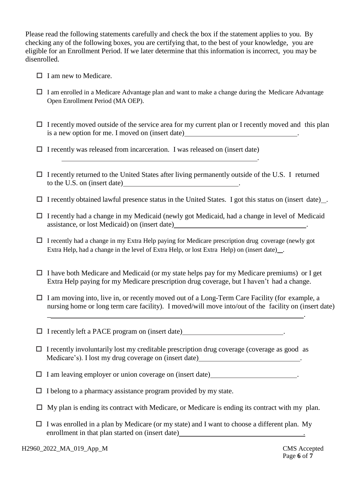Please read the following statements carefully and check the box if the statement applies to you. By checking any of the following boxes, you are certifying that, to the best of your knowledge, you are eligible for an Enrollment Period. If we later determine that this information is incorrect, you may be disenrolled.

- $\Box$  I am new to Medicare.
- $\Box$  I am enrolled in a Medicare Advantage plan and want to make a change during the Medicare Advantage Open Enrollment Period (MA OEP).
- $\Box$  I recently moved outside of the service area for my current plan or I recently moved and this plan is a new option for me. I moved on (insert date)

.

- $\Box$  I recently was released from incarceration. I was released on (insert date)
- $\Box$  I recently returned to the United States after living permanently outside of the U.S. I returned to the U.S. on (insert date) .
- $\Box$  I recently obtained lawful presence status in the United States. I got this status on (insert date).
- $\Box$  I recently had a change in my Medicaid (newly got Medicaid, had a change in level of Medicaid assistance, or lost Medicaid) on (insert date) .
- $\Box$  I recently had a change in my Extra Help paying for Medicare prescription drug coverage (newly got Extra Help, had a change in the level of Extra Help, or lost Extra Help) on (insert date) .
- $\Box$  I have both Medicare and Medicaid (or my state helps pay for my Medicare premiums) or I get Extra Help paying for my Medicare prescription drug coverage, but I haven't had a change.
- $\Box$  I am moving into, live in, or recently moved out of a Long-Term Care Facility (for example, a nursing home or long term care facility). I moved/will move into/out of the facility on (insert date)

 $\Box$  I recently left a PACE program on (insert date)  $\Box$ 

 $\Box$  I recently involuntarily lost my creditable prescription drug coverage (coverage as good as Medicare's). I lost my drug coverage on (insert date) .

\_ .

- $\Box$  I am leaving employer or union coverage on (insert date).
- $\Box$  I belong to a pharmacy assistance program provided by my state.
- $\Box$  My plan is ending its contract with Medicare, or Medicare is ending its contract with my plan.
- $\Box$  I was enrolled in a plan by Medicare (or my state) and I want to choose a different plan. My enrollment in that plan started on (insert date) **...** [*no*]